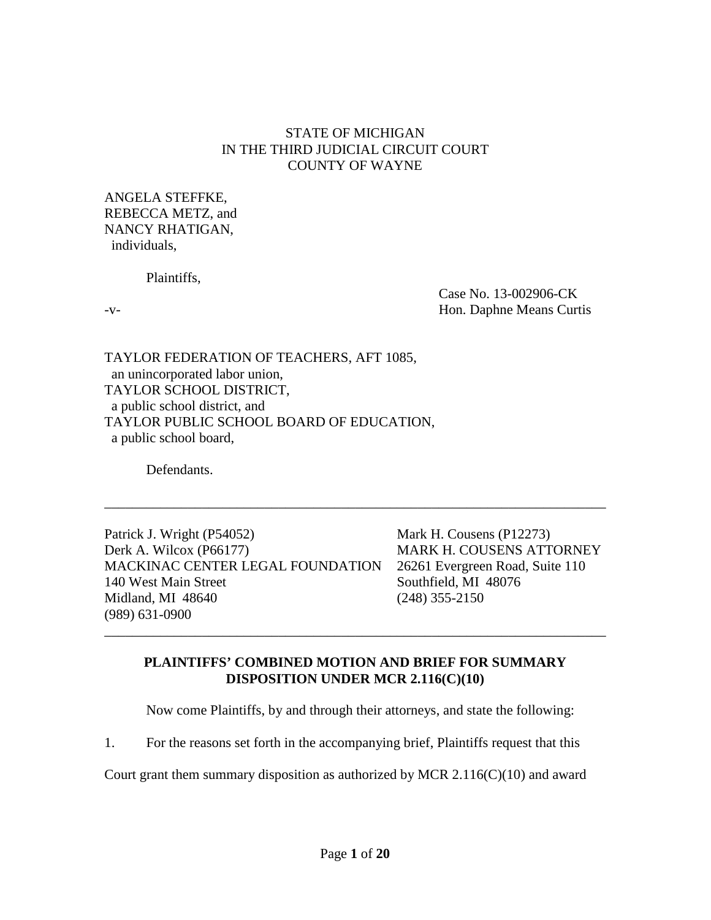## STATE OF MICHIGAN IN THE THIRD JUDICIAL CIRCUIT COURT COUNTY OF WAYNE

ANGELA STEFFKE, REBECCA METZ, and NANCY RHATIGAN, individuals,

Plaintiffs,

Case No. 13-002906-CK -v- Hon. Daphne Means Curtis

TAYLOR FEDERATION OF TEACHERS, AFT 1085, an unincorporated labor union, TAYLOR SCHOOL DISTRICT, a public school district, and TAYLOR PUBLIC SCHOOL BOARD OF EDUCATION, a public school board,

Defendants.

Patrick J. Wright (P54052) Mark H. Cousens (P12273) Derk A. Wilcox (P66177) MARK H. COUSENS ATTORNEY MACKINAC CENTER LEGAL FOUNDATION 26261 Evergreen Road, Suite 110 140 West Main Street Southfield, MI 48076 Midland, MI 48640 (248) 355-2150 (989) 631-0900

# **PLAINTIFFS' COMBINED MOTION AND BRIEF FOR SUMMARY DISPOSITION UNDER MCR 2.116(C)(10)**

\_\_\_\_\_\_\_\_\_\_\_\_\_\_\_\_\_\_\_\_\_\_\_\_\_\_\_\_\_\_\_\_\_\_\_\_\_\_\_\_\_\_\_\_\_\_\_\_\_\_\_\_\_\_\_\_\_\_\_\_\_\_\_\_\_\_\_\_\_\_\_\_

\_\_\_\_\_\_\_\_\_\_\_\_\_\_\_\_\_\_\_\_\_\_\_\_\_\_\_\_\_\_\_\_\_\_\_\_\_\_\_\_\_\_\_\_\_\_\_\_\_\_\_\_\_\_\_\_\_\_\_\_\_\_\_\_\_\_\_\_\_\_\_\_

Now come Plaintiffs, by and through their attorneys, and state the following:

1. For the reasons set forth in the accompanying brief, Plaintiffs request that this

Court grant them summary disposition as authorized by MCR  $2.116(C)(10)$  and award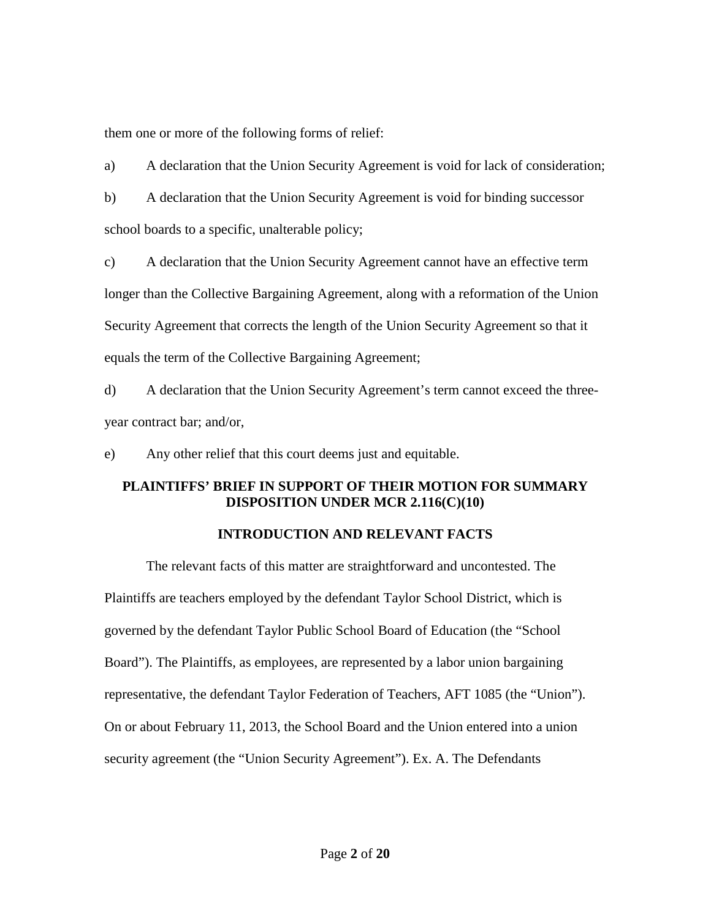them one or more of the following forms of relief:

a) A declaration that the Union Security Agreement is void for lack of consideration;

b) A declaration that the Union Security Agreement is void for binding successor school boards to a specific, unalterable policy;

c) A declaration that the Union Security Agreement cannot have an effective term longer than the Collective Bargaining Agreement, along with a reformation of the Union Security Agreement that corrects the length of the Union Security Agreement so that it equals the term of the Collective Bargaining Agreement;

d) A declaration that the Union Security Agreement's term cannot exceed the threeyear contract bar; and/or,

e) Any other relief that this court deems just and equitable.

# **PLAINTIFFS' BRIEF IN SUPPORT OF THEIR MOTION FOR SUMMARY DISPOSITION UNDER MCR 2.116(C)(10)**

# **INTRODUCTION AND RELEVANT FACTS**

The relevant facts of this matter are straightforward and uncontested. The Plaintiffs are teachers employed by the defendant Taylor School District, which is governed by the defendant Taylor Public School Board of Education (the "School Board"). The Plaintiffs, as employees, are represented by a labor union bargaining representative, the defendant Taylor Federation of Teachers, AFT 1085 (the "Union"). On or about February 11, 2013, the School Board and the Union entered into a union security agreement (the "Union Security Agreement"). Ex. A. The Defendants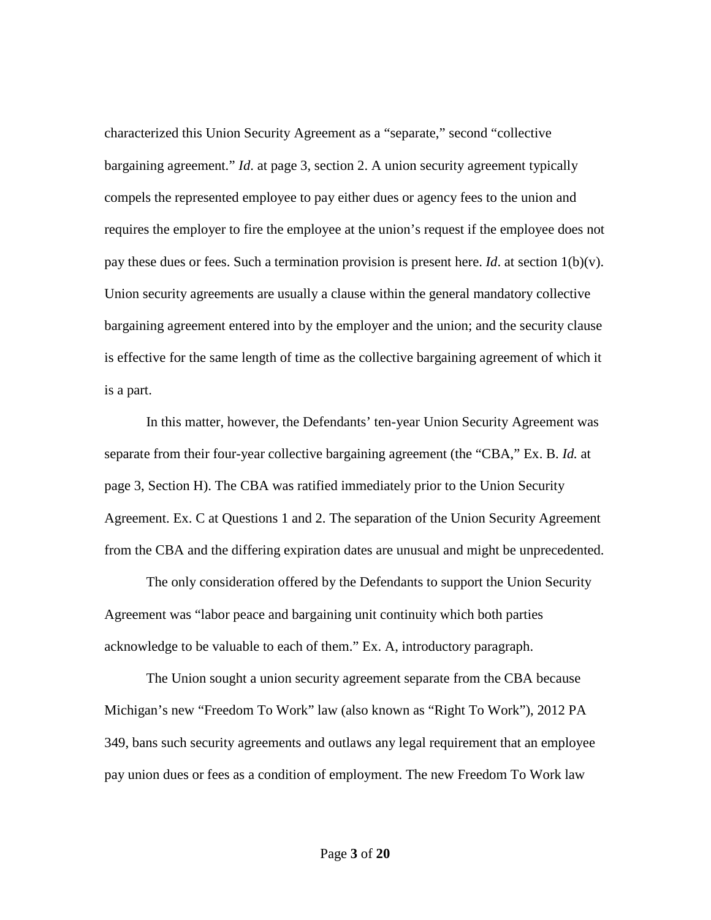characterized this Union Security Agreement as a "separate," second "collective bargaining agreement." *Id*. at page 3, section 2. A union security agreement typically compels the represented employee to pay either dues or agency fees to the union and requires the employer to fire the employee at the union's request if the employee does not pay these dues or fees. Such a termination provision is present here. *Id*. at section  $1(b)(v)$ . Union security agreements are usually a clause within the general mandatory collective bargaining agreement entered into by the employer and the union; and the security clause is effective for the same length of time as the collective bargaining agreement of which it is a part.

In this matter, however, the Defendants' ten-year Union Security Agreement was separate from their four-year collective bargaining agreement (the "CBA," Ex. B. *Id.* at page 3, Section H). The CBA was ratified immediately prior to the Union Security Agreement. Ex. C at Questions 1 and 2. The separation of the Union Security Agreement from the CBA and the differing expiration dates are unusual and might be unprecedented.

The only consideration offered by the Defendants to support the Union Security Agreement was "labor peace and bargaining unit continuity which both parties acknowledge to be valuable to each of them." Ex. A, introductory paragraph.

The Union sought a union security agreement separate from the CBA because Michigan's new "Freedom To Work" law (also known as "Right To Work"), 2012 PA 349, bans such security agreements and outlaws any legal requirement that an employee pay union dues or fees as a condition of employment. The new Freedom To Work law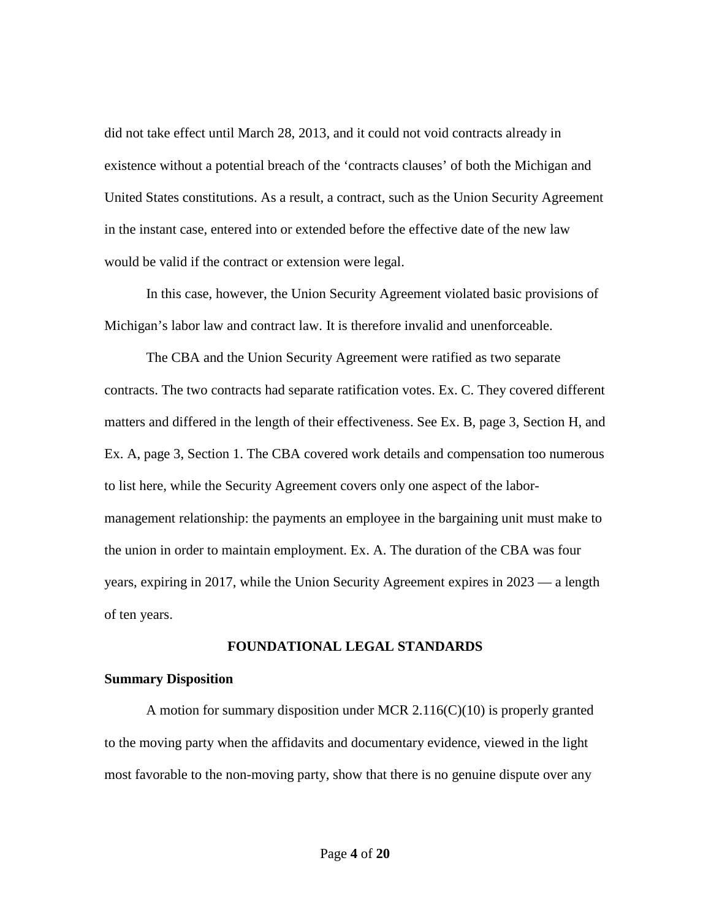did not take effect until March 28, 2013, and it could not void contracts already in existence without a potential breach of the 'contracts clauses' of both the Michigan and United States constitutions. As a result, a contract, such as the Union Security Agreement in the instant case, entered into or extended before the effective date of the new law would be valid if the contract or extension were legal.

In this case, however, the Union Security Agreement violated basic provisions of Michigan's labor law and contract law. It is therefore invalid and unenforceable.

The CBA and the Union Security Agreement were ratified as two separate contracts. The two contracts had separate ratification votes. Ex. C. They covered different matters and differed in the length of their effectiveness. See Ex. B, page 3, Section H, and Ex. A, page 3, Section 1. The CBA covered work details and compensation too numerous to list here, while the Security Agreement covers only one aspect of the labormanagement relationship: the payments an employee in the bargaining unit must make to the union in order to maintain employment. Ex. A. The duration of the CBA was four years, expiring in 2017, while the Union Security Agreement expires in 2023 — a length of ten years.

### **FOUNDATIONAL LEGAL STANDARDS**

#### **Summary Disposition**

A motion for summary disposition under MCR 2.116(C)(10) is properly granted to the moving party when the affidavits and documentary evidence, viewed in the light most favorable to the non-moving party, show that there is no genuine dispute over any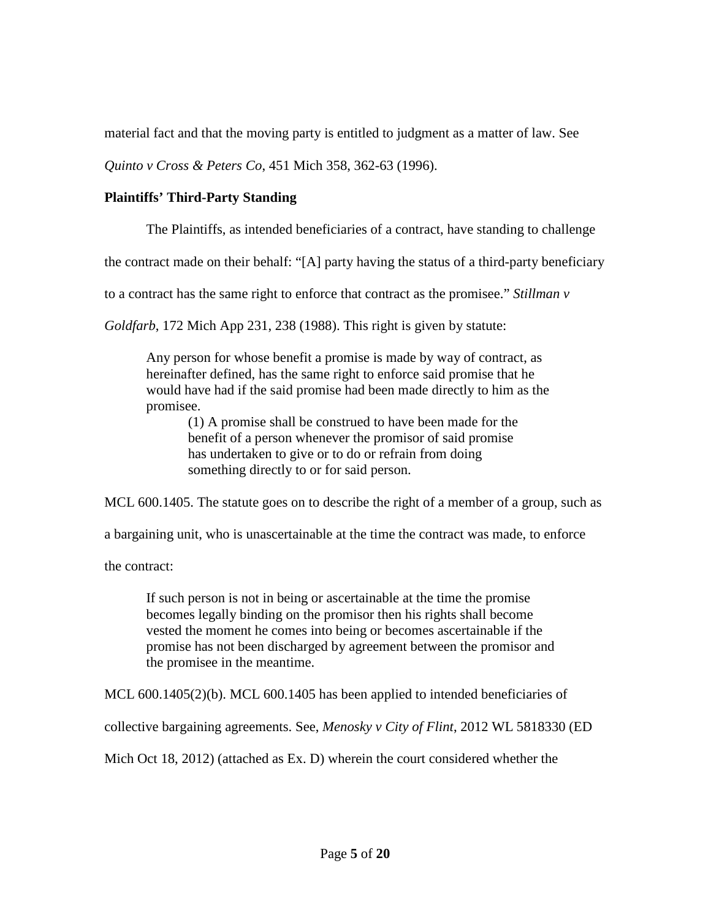material fact and that the moving party is entitled to judgment as a matter of law. See

*Quinto v Cross & Peters Co*, 451 Mich 358, 362-63 (1996).

# **Plaintiffs' Third-Party Standing**

The Plaintiffs, as intended beneficiaries of a contract, have standing to challenge

the contract made on their behalf: "[A] party having the status of a third-party beneficiary

to a contract has the same right to enforce that contract as the promisee." *Stillman v* 

*Goldfarb*, 172 Mich App 231, 238 (1988). This right is given by statute:

Any person for whose benefit a promise is made by way of contract, as hereinafter defined, has the same right to enforce said promise that he would have had if the said promise had been made directly to him as the promisee.

> (1) A promise shall be construed to have been made for the benefit of a person whenever the promisor of said promise has undertaken to give or to do or refrain from doing something directly to or for said person.

MCL 600.1405. The statute goes on to describe the right of a member of a group, such as

a bargaining unit, who is unascertainable at the time the contract was made, to enforce

the contract:

If such person is not in being or ascertainable at the time the promise becomes legally binding on the promisor then his rights shall become vested the moment he comes into being or becomes ascertainable if the promise has not been discharged by agreement between the promisor and the promisee in the meantime.

MCL 600.1405(2)(b). MCL 600.1405 has been applied to intended beneficiaries of

collective bargaining agreements. See, *Menosky v City of Flint*, 2012 WL 5818330 (ED

Mich Oct 18, 2012) (attached as Ex. D) wherein the court considered whether the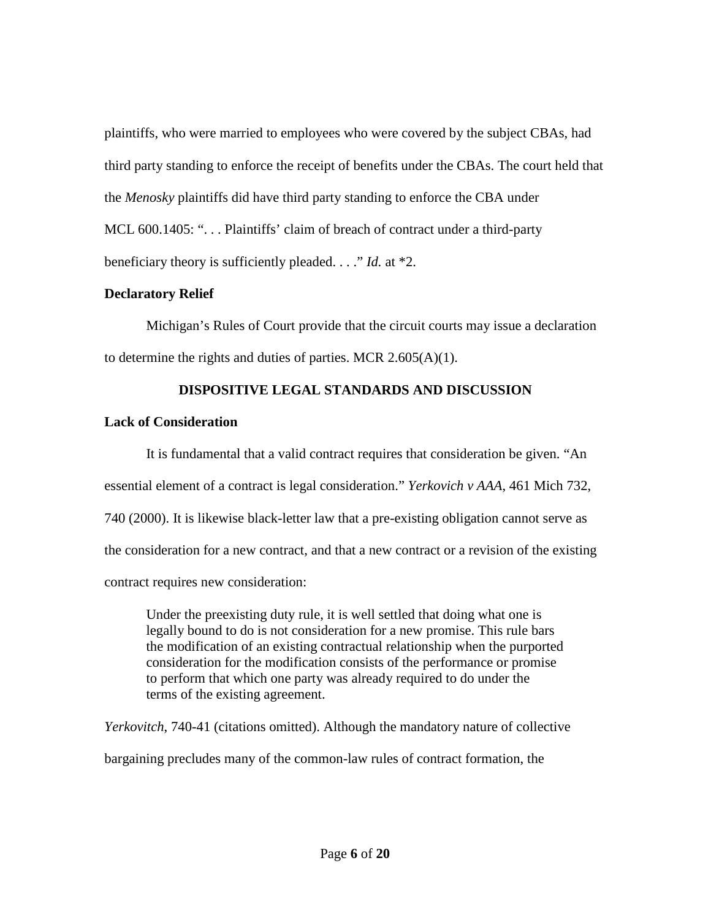plaintiffs, who were married to employees who were covered by the subject CBAs, had third party standing to enforce the receipt of benefits under the CBAs. The court held that the *Menosky* plaintiffs did have third party standing to enforce the CBA under MCL 600.1405: "... Plaintiffs' claim of breach of contract under a third-party beneficiary theory is sufficiently pleaded. . . ." *Id.* at \*2.

## **Declaratory Relief**

Michigan's Rules of Court provide that the circuit courts may issue a declaration to determine the rights and duties of parties. MCR  $2.605(A)(1)$ .

# **DISPOSITIVE LEGAL STANDARDS AND DISCUSSION**

# **Lack of Consideration**

It is fundamental that a valid contract requires that consideration be given. "An essential element of a contract is legal consideration." *Yerkovich v AAA*, 461 Mich 732, 740 (2000). It is likewise black-letter law that a pre-existing obligation cannot serve as the consideration for a new contract, and that a new contract or a revision of the existing contract requires new consideration:

Under the preexisting duty rule, it is well settled that doing what one is legally bound to do is not consideration for a new promise. This rule bars the modification of an existing contractual relationship when the purported consideration for the modification consists of the performance or promise to perform that which one party was already required to do under the terms of the existing agreement.

*Yerkovitch*, 740-41 (citations omitted). Although the mandatory nature of collective bargaining precludes many of the common-law rules of contract formation, the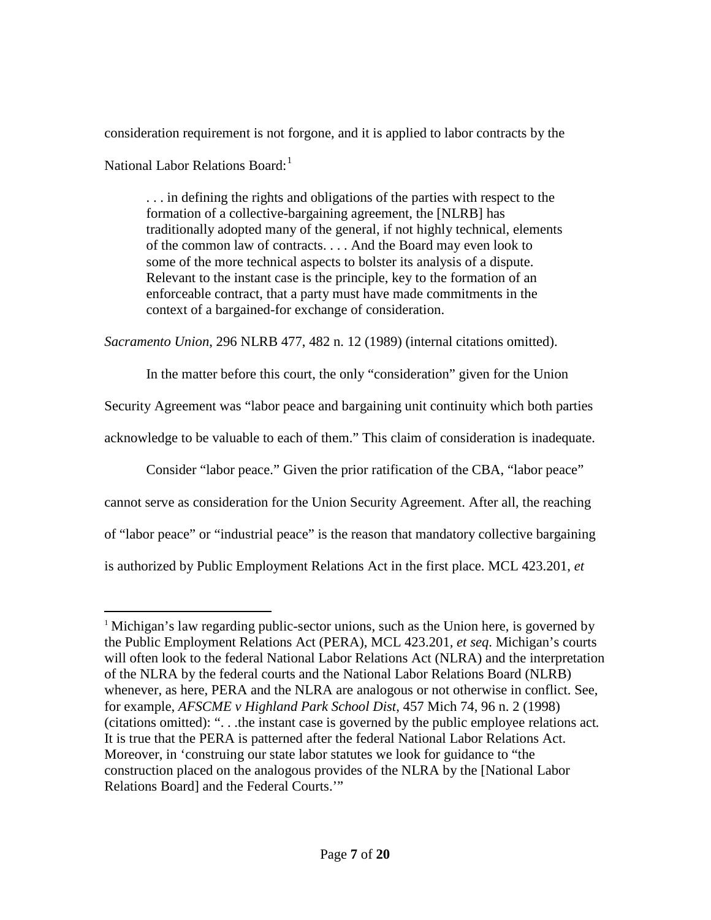consideration requirement is not forgone, and it is applied to labor contracts by the National Labor Relations Board:<sup>[1](#page-6-0)</sup>

. . . in defining the rights and obligations of the parties with respect to the formation of a collective-bargaining agreement, the [NLRB] has traditionally adopted many of the general, if not highly technical, elements of the common law of contracts. . . . And the Board may even look to some of the more technical aspects to bolster its analysis of a dispute. Relevant to the instant case is the principle, key to the formation of an enforceable contract, that a party must have made commitments in the context of a bargained-for exchange of consideration.

*Sacramento Union*, 296 NLRB 477, 482 n. 12 (1989) (internal citations omitted).

In the matter before this court, the only "consideration" given for the Union

Security Agreement was "labor peace and bargaining unit continuity which both parties

acknowledge to be valuable to each of them." This claim of consideration is inadequate.

Consider "labor peace." Given the prior ratification of the CBA, "labor peace"

cannot serve as consideration for the Union Security Agreement. After all, the reaching

of "labor peace" or "industrial peace" is the reason that mandatory collective bargaining

is authorized by Public Employment Relations Act in the first place. MCL 423.201, *et* 

<span id="page-6-0"></span><sup>&</sup>lt;sup>1</sup> Michigan's law regarding public-sector unions, such as the Union here, is governed by the Public Employment Relations Act (PERA), MCL 423.201*, et seq*. Michigan's courts will often look to the federal National Labor Relations Act (NLRA) and the interpretation of the NLRA by the federal courts and the National Labor Relations Board (NLRB) whenever, as here, PERA and the NLRA are analogous or not otherwise in conflict. See, for example, *AFSCME v Highland Park School Dist*, 457 Mich 74, 96 n. 2 (1998) (citations omitted): ". . .the instant case is governed by the public employee relations act*.* It is true that the PERA is patterned after the federal National Labor Relations Act. Moreover, in 'construing our state labor statutes we look for guidance to "the construction placed on the analogous provides of the NLRA by the [National Labor Relations Board] and the Federal Courts.'"  $\overline{a}$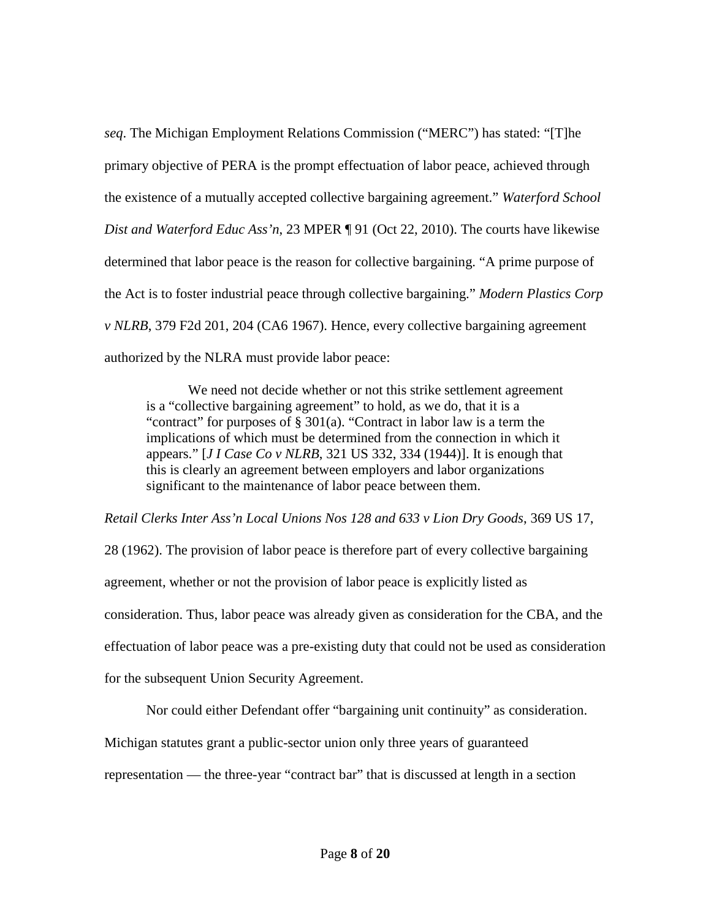*seq*. The Michigan Employment Relations Commission ("MERC") has stated: "[T]he primary objective of PERA is the prompt effectuation of labor peace, achieved through the existence of a mutually accepted collective bargaining agreement." *Waterford School Dist and Waterford Educ Ass'n*, 23 MPER ¶ 91 (Oct 22, 2010). The courts have likewise determined that labor peace is the reason for collective bargaining. "A prime purpose of the Act is to foster industrial peace through collective bargaining." *Modern Plastics Corp v NLRB*, 379 F2d 201, 204 (CA6 1967). Hence, every collective bargaining agreement authorized by the NLRA must provide labor peace:

We need not decide whether or not this strike settlement agreement is a "collective bargaining agreement" to hold, as we do, that it is a "contract" for purposes of § 301(a). "Contract in labor law is a term the implications of which must be determined from the connection in which it appears." [*J I Case Co v NLRB*, 321 US 332, 334 (1944)]. It is enough that this is clearly an agreement between employers and labor organizations significant to the maintenance of labor peace between them.

*Retail Clerks Inter Ass'n Local Unions Nos 128 and 633 v Lion Dry Goods*, 369 US 17,

28 (1962). The provision of labor peace is therefore part of every collective bargaining agreement, whether or not the provision of labor peace is explicitly listed as consideration. Thus, labor peace was already given as consideration for the CBA, and the effectuation of labor peace was a pre-existing duty that could not be used as consideration for the subsequent Union Security Agreement.

Nor could either Defendant offer "bargaining unit continuity" as consideration.

Michigan statutes grant a public-sector union only three years of guaranteed

representation — the three-year "contract bar" that is discussed at length in a section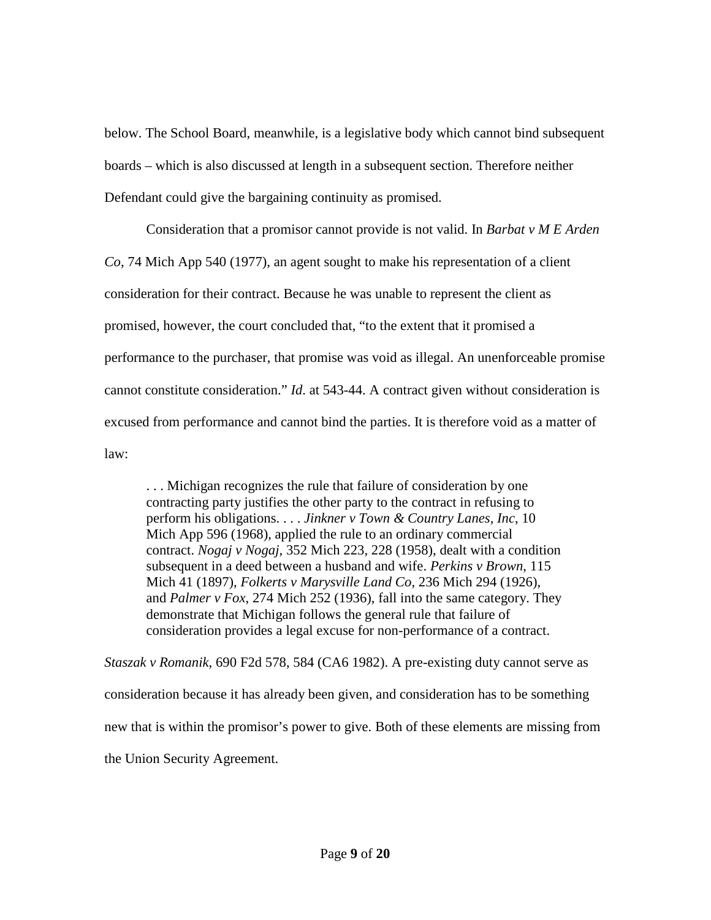below. The School Board, meanwhile, is a legislative body which cannot bind subsequent boards – which is also discussed at length in a subsequent section. Therefore neither Defendant could give the bargaining continuity as promised.

Consideration that a promisor cannot provide is not valid. In *Barbat v M E Arden Co*, 74 Mich App 540 (1977), an agent sought to make his representation of a client consideration for their contract. Because he was unable to represent the client as promised, however, the court concluded that, "to the extent that it promised a performance to the purchaser, that promise was void as illegal. An unenforceable promise cannot constitute consideration." *Id*. at 543-44. A contract given without consideration is excused from performance and cannot bind the parties. It is therefore void as a matter of law:

. . . Michigan recognizes the rule that failure of consideration by one contracting party justifies the other party to the contract in refusing to perform his obligations. . . . *Jinkner v Town & Country Lanes, Inc*, 10 Mich App 596 (1968), applied the rule to an ordinary commercial contract. *Nogaj v Nogaj*, 352 Mich 223, 228 (1958), dealt with a condition subsequent in a deed between a husband and wife. *Perkins v Brown*, 115 Mich 41 (1897), *Folkerts v Marysville Land Co,* 236 Mich 294 (1926), and *Palmer v Fox*, 274 Mich 252 (1936), fall into the same category. They demonstrate that Michigan follows the general rule that failure of consideration provides a legal excuse for non-performance of a contract.

*Staszak v Romanik*, 690 F2d 578, 584 (CA6 1982). A pre-existing duty cannot serve as consideration because it has already been given, and consideration has to be something new that is within the promisor's power to give. Both of these elements are missing from the Union Security Agreement.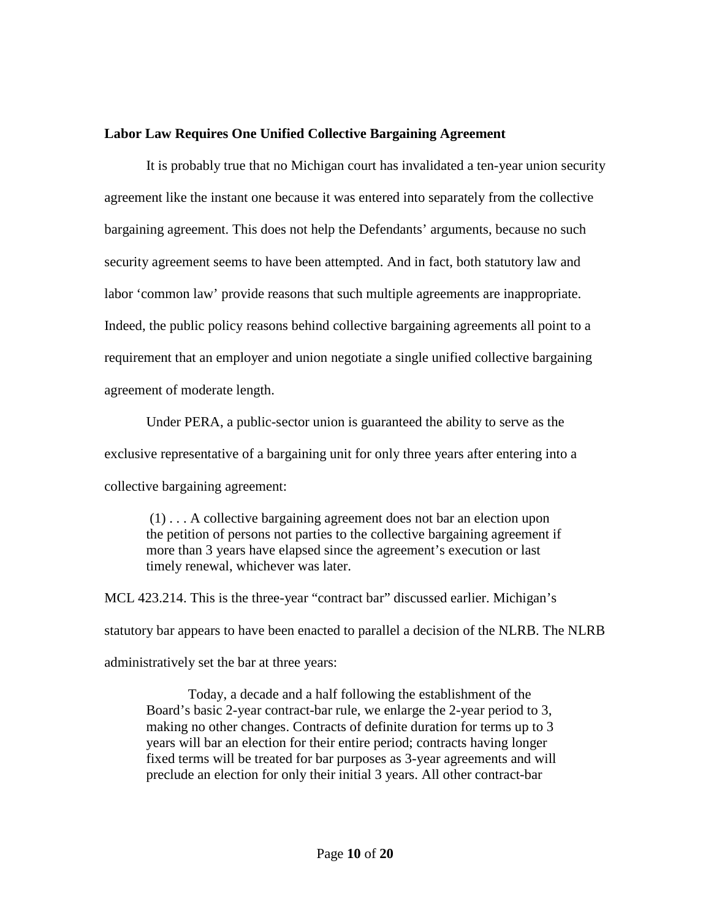## **Labor Law Requires One Unified Collective Bargaining Agreement**

It is probably true that no Michigan court has invalidated a ten-year union security agreement like the instant one because it was entered into separately from the collective bargaining agreement. This does not help the Defendants' arguments, because no such security agreement seems to have been attempted. And in fact, both statutory law and labor 'common law' provide reasons that such multiple agreements are inappropriate. Indeed, the public policy reasons behind collective bargaining agreements all point to a requirement that an employer and union negotiate a single unified collective bargaining agreement of moderate length.

Under PERA, a public-sector union is guaranteed the ability to serve as the exclusive representative of a bargaining unit for only three years after entering into a collective bargaining agreement:

(1) . . . A collective bargaining agreement does not bar an election upon the petition of persons not parties to the collective bargaining agreement if more than 3 years have elapsed since the agreement's execution or last timely renewal, whichever was later.

MCL 423.214. This is the three-year "contract bar" discussed earlier. Michigan's statutory bar appears to have been enacted to parallel a decision of the NLRB. The NLRB administratively set the bar at three years:

Today, a decade and a half following the establishment of the Board's basic 2-year contract-bar rule, we enlarge the 2-year period to 3, making no other changes. Contracts of definite duration for terms up to 3 years will bar an election for their entire period; contracts having longer fixed terms will be treated for bar purposes as 3-year agreements and will preclude an election for only their initial 3 years. All other contract-bar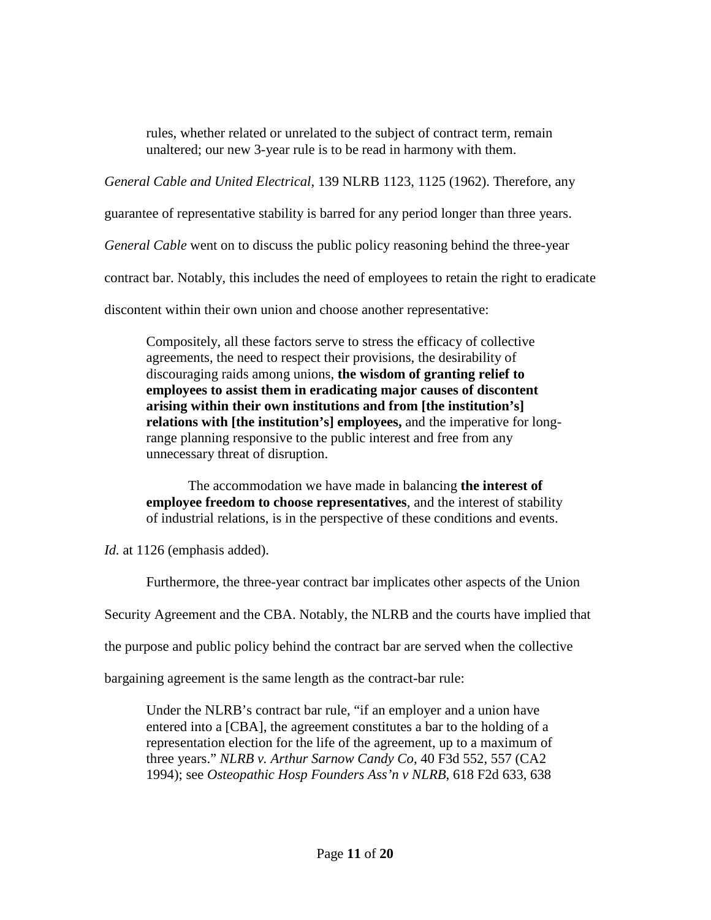rules, whether related or unrelated to the subject of contract term, remain unaltered; our new 3-year rule is to be read in harmony with them.

*General Cable and United Electrical*, 139 NLRB 1123, 1125 (1962). Therefore, any

guarantee of representative stability is barred for any period longer than three years.

*General Cable* went on to discuss the public policy reasoning behind the three-year

contract bar. Notably, this includes the need of employees to retain the right to eradicate

discontent within their own union and choose another representative:

Compositely, all these factors serve to stress the efficacy of collective agreements, the need to respect their provisions, the desirability of discouraging raids among unions, **the wisdom of granting relief to employees to assist them in eradicating major causes of discontent arising within their own institutions and from [the institution's] relations with [the institution's] employees,** and the imperative for longrange planning responsive to the public interest and free from any unnecessary threat of disruption.

The accommodation we have made in balancing **the interest of employee freedom to choose representatives**, and the interest of stability of industrial relations, is in the perspective of these conditions and events.

*Id.* at 1126 (emphasis added).

Furthermore, the three-year contract bar implicates other aspects of the Union

Security Agreement and the CBA. Notably, the NLRB and the courts have implied that

the purpose and public policy behind the contract bar are served when the collective

bargaining agreement is the same length as the contract-bar rule:

Under the NLRB's contract bar rule, "if an employer and a union have entered into a [CBA], the agreement constitutes a bar to the holding of a representation election for the life of the agreement, up to a maximum of three years." *NLRB v. Arthur Sarnow Candy Co*, 40 F3d 552, 557 (CA2 1994); see *Osteopathic Hosp Founders Ass'n v NLRB*, 618 F2d 633, 638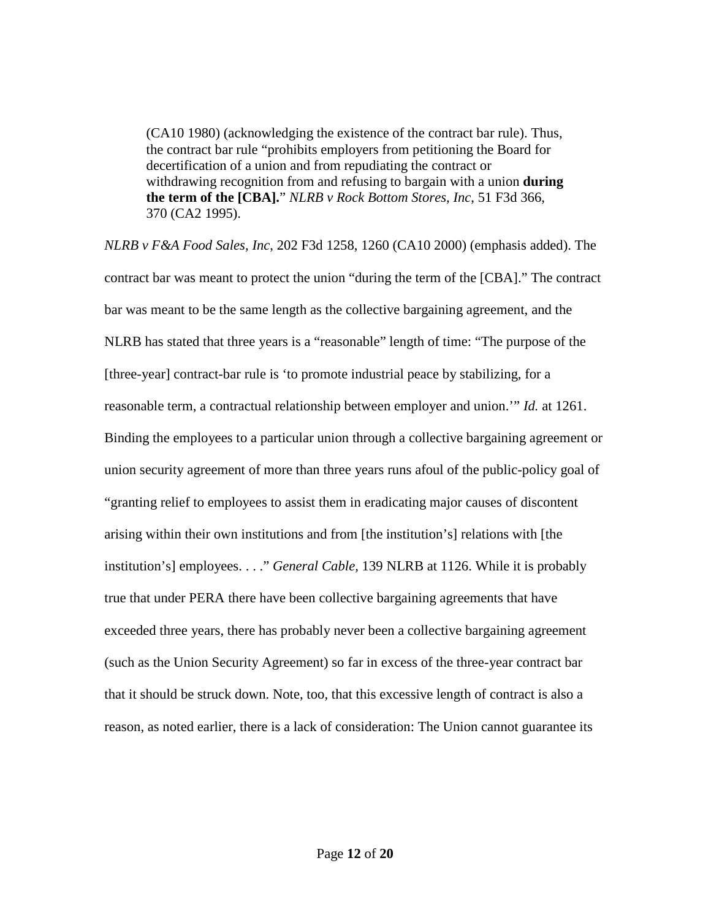(CA10 1980) (acknowledging the existence of the contract bar rule). Thus, the contract bar rule "prohibits employers from petitioning the Board for decertification of a union and from repudiating the contract or withdrawing recognition from and refusing to bargain with a union **during the term of the [CBA].**" *NLRB v Rock Bottom Stores, Inc*, 51 F3d 366, 370 (CA2 1995).

*NLRB v F&A Food Sales, Inc*, 202 F3d 1258, 1260 (CA10 2000) (emphasis added). The contract bar was meant to protect the union "during the term of the [CBA]." The contract bar was meant to be the same length as the collective bargaining agreement, and the NLRB has stated that three years is a "reasonable" length of time: "The purpose of the [three-year] contract-bar rule is 'to promote industrial peace by stabilizing, for a reasonable term, a contractual relationship between employer and union.'" *Id.* at 1261. Binding the employees to a particular union through a collective bargaining agreement or union security agreement of more than three years runs afoul of the public-policy goal of "granting relief to employees to assist them in eradicating major causes of discontent arising within their own institutions and from [the institution's] relations with [the institution's] employees. . . ." *General Cable,* 139 NLRB at 1126. While it is probably true that under PERA there have been collective bargaining agreements that have exceeded three years, there has probably never been a collective bargaining agreement (such as the Union Security Agreement) so far in excess of the three-year contract bar that it should be struck down. Note, too, that this excessive length of contract is also a reason, as noted earlier, there is a lack of consideration: The Union cannot guarantee its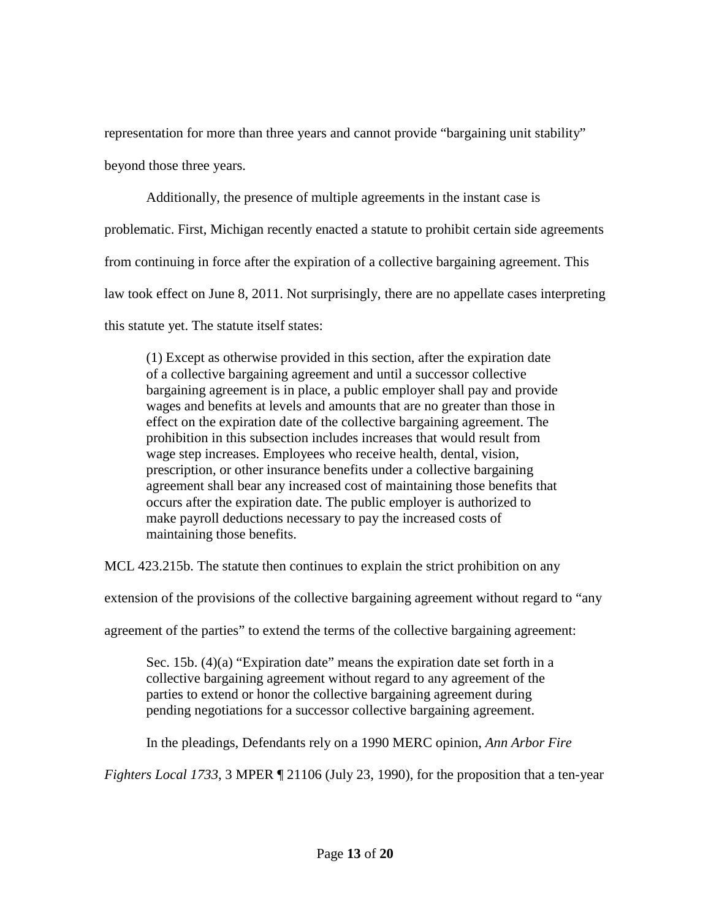representation for more than three years and cannot provide "bargaining unit stability"

beyond those three years.

Additionally, the presence of multiple agreements in the instant case is problematic. First, Michigan recently enacted a statute to prohibit certain side agreements from continuing in force after the expiration of a collective bargaining agreement. This law took effect on June 8, 2011. Not surprisingly, there are no appellate cases interpreting this statute yet. The statute itself states:

(1) Except as otherwise provided in this section, after the expiration date of a collective bargaining agreement and until a successor collective bargaining agreement is in place, a public employer shall pay and provide wages and benefits at levels and amounts that are no greater than those in effect on the expiration date of the collective bargaining agreement. The prohibition in this subsection includes increases that would result from wage step increases. Employees who receive health, dental, vision, prescription, or other insurance benefits under a collective bargaining agreement shall bear any increased cost of maintaining those benefits that occurs after the expiration date. The public employer is authorized to make payroll deductions necessary to pay the increased costs of maintaining those benefits.

MCL 423.215b. The statute then continues to explain the strict prohibition on any

extension of the provisions of the collective bargaining agreement without regard to "any

agreement of the parties" to extend the terms of the collective bargaining agreement:

Sec. 15b. (4)(a) "Expiration date" means the expiration date set forth in a collective bargaining agreement without regard to any agreement of the parties to extend or honor the collective bargaining agreement during pending negotiations for a successor collective bargaining agreement.

In the pleadings, Defendants rely on a 1990 MERC opinion, *Ann Arbor Fire* 

*Fighters Local 1733*, 3 MPER ¶ 21106 (July 23, 1990), for the proposition that a ten-year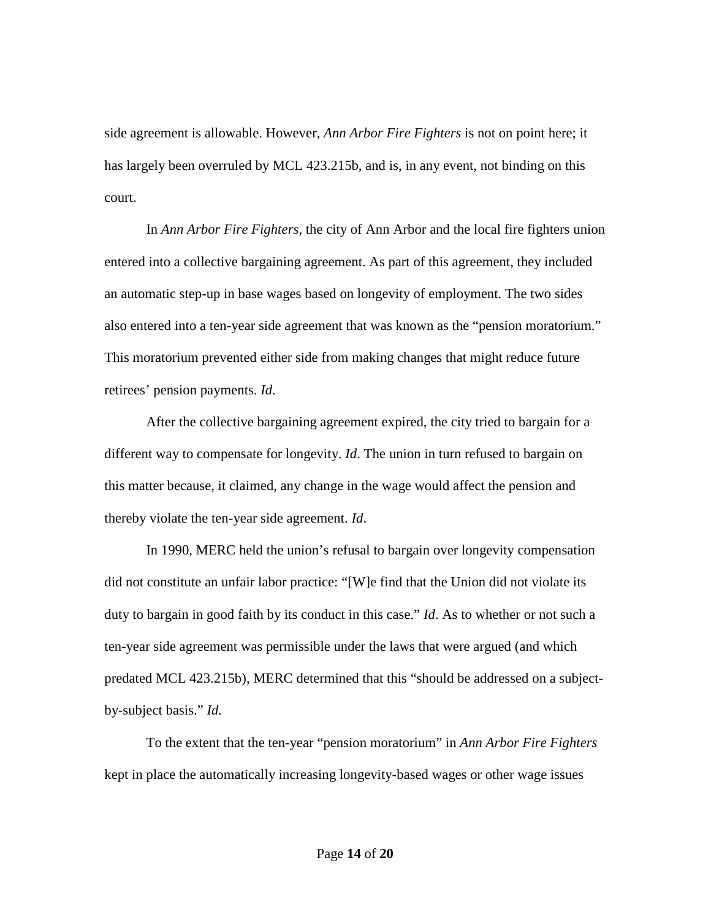side agreement is allowable. However, *Ann Arbor Fire Fighters* is not on point here; it has largely been overruled by MCL 423.215b, and is, in any event, not binding on this court.

In *Ann Arbor Fire Fighters*, the city of Ann Arbor and the local fire fighters union entered into a collective bargaining agreement. As part of this agreement, they included an automatic step-up in base wages based on longevity of employment. The two sides also entered into a ten-year side agreement that was known as the "pension moratorium." This moratorium prevented either side from making changes that might reduce future retirees' pension payments. *Id.*

After the collective bargaining agreement expired, the city tried to bargain for a different way to compensate for longevity. *Id*. The union in turn refused to bargain on this matter because, it claimed, any change in the wage would affect the pension and thereby violate the ten-year side agreement. *Id*.

In 1990, MERC held the union's refusal to bargain over longevity compensation did not constitute an unfair labor practice: "[W]e find that the Union did not violate its duty to bargain in good faith by its conduct in this case." *Id*. As to whether or not such a ten-year side agreement was permissible under the laws that were argued (and which predated MCL 423.215b), MERC determined that this "should be addressed on a subjectby-subject basis." *Id*.

To the extent that the ten-year "pension moratorium" in *Ann Arbor Fire Fighters* kept in place the automatically increasing longevity-based wages or other wage issues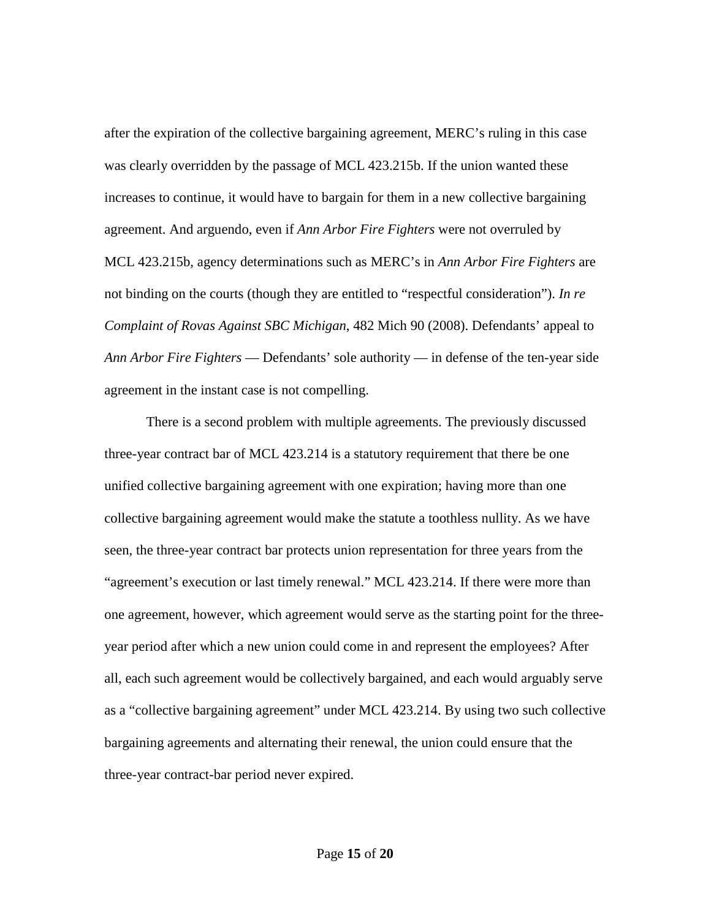after the expiration of the collective bargaining agreement, MERC's ruling in this case was clearly overridden by the passage of MCL 423.215b. If the union wanted these increases to continue, it would have to bargain for them in a new collective bargaining agreement. And arguendo, even if *Ann Arbor Fire Fighters* were not overruled by MCL 423.215b, agency determinations such as MERC's in *Ann Arbor Fire Fighters* are not binding on the courts (though they are entitled to "respectful consideration"). *In re Complaint of Rovas Against SBC Michigan*, 482 Mich 90 (2008). Defendants' appeal to *Ann Arbor Fire Fighters* — Defendants' sole authority — in defense of the ten-year side agreement in the instant case is not compelling.

There is a second problem with multiple agreements. The previously discussed three-year contract bar of MCL 423.214 is a statutory requirement that there be one unified collective bargaining agreement with one expiration; having more than one collective bargaining agreement would make the statute a toothless nullity. As we have seen, the three-year contract bar protects union representation for three years from the "agreement's execution or last timely renewal." MCL 423.214. If there were more than one agreement, however, which agreement would serve as the starting point for the threeyear period after which a new union could come in and represent the employees? After all, each such agreement would be collectively bargained, and each would arguably serve as a "collective bargaining agreement" under MCL 423.214. By using two such collective bargaining agreements and alternating their renewal, the union could ensure that the three-year contract-bar period never expired.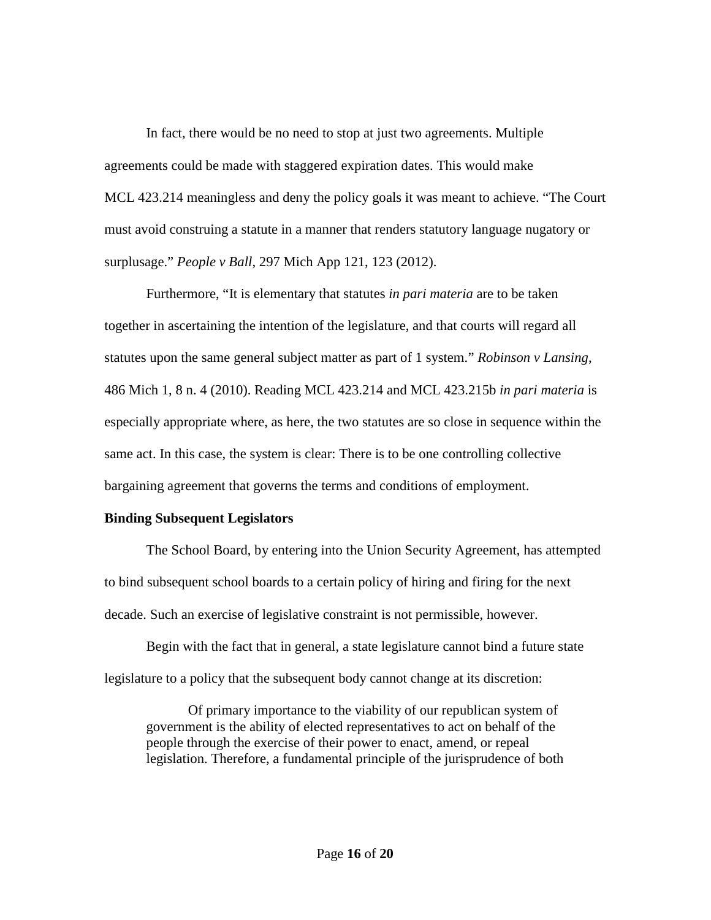In fact, there would be no need to stop at just two agreements. Multiple agreements could be made with staggered expiration dates. This would make MCL 423.214 meaningless and deny the policy goals it was meant to achieve. "The Court must avoid construing a statute in a manner that renders statutory language nugatory or surplusage." *People v Ball*, 297 Mich App 121, 123 (2012).

Furthermore, "It is elementary that statutes *in pari materia* are to be taken together in ascertaining the intention of the legislature, and that courts will regard all statutes upon the same general subject matter as part of 1 system." *Robinson v Lansing*, 486 Mich 1, 8 n. 4 (2010). Reading MCL 423.214 and MCL 423.215b *in pari materia* is especially appropriate where, as here, the two statutes are so close in sequence within the same act. In this case, the system is clear: There is to be one controlling collective bargaining agreement that governs the terms and conditions of employment.

## **Binding Subsequent Legislators**

The School Board, by entering into the Union Security Agreement, has attempted to bind subsequent school boards to a certain policy of hiring and firing for the next decade. Such an exercise of legislative constraint is not permissible, however.

Begin with the fact that in general, a state legislature cannot bind a future state legislature to a policy that the subsequent body cannot change at its discretion:

Of primary importance to the viability of our republican system of government is the ability of elected representatives to act on behalf of the people through the exercise of their power to enact, amend, or repeal legislation. Therefore, a fundamental principle of the jurisprudence of both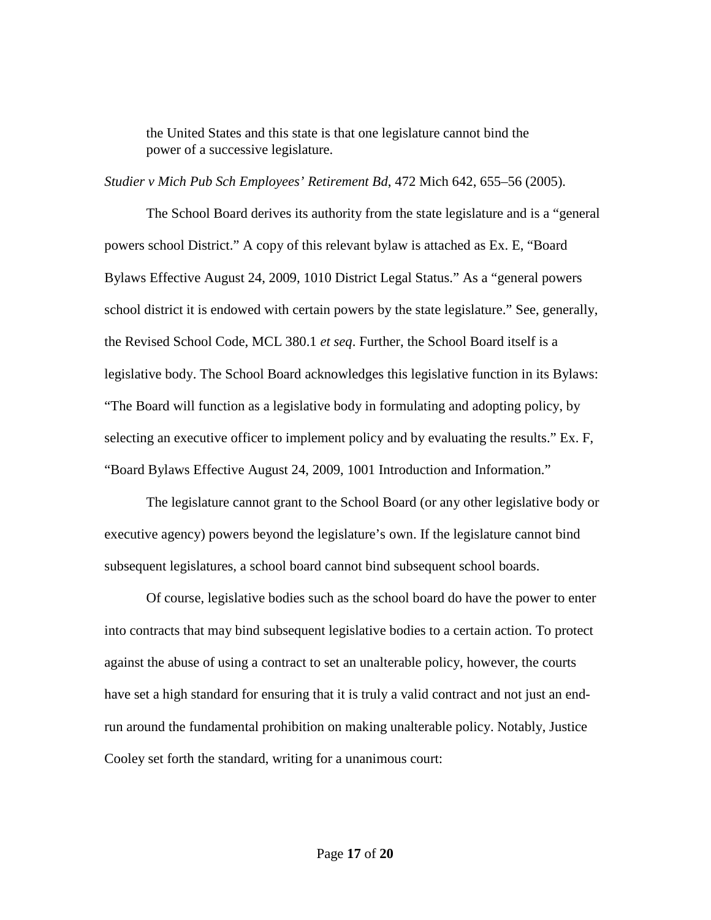the United States and this state is that one legislature cannot bind the power of a successive legislature.

*Studier v Mich Pub Sch Employees' Retirement Bd*, 472 Mich 642, 655–56 (2005).

The School Board derives its authority from the state legislature and is a "general powers school District." A copy of this relevant bylaw is attached as Ex. E, "Board Bylaws Effective August 24, 2009, 1010 District Legal Status." As a "general powers school district it is endowed with certain powers by the state legislature." See, generally, the Revised School Code, MCL 380.1 *et seq*. Further, the School Board itself is a legislative body. The School Board acknowledges this legislative function in its Bylaws: "The Board will function as a legislative body in formulating and adopting policy, by selecting an executive officer to implement policy and by evaluating the results." Ex. F, "Board Bylaws Effective August 24, 2009, 1001 Introduction and Information."

The legislature cannot grant to the School Board (or any other legislative body or executive agency) powers beyond the legislature's own. If the legislature cannot bind subsequent legislatures, a school board cannot bind subsequent school boards.

Of course, legislative bodies such as the school board do have the power to enter into contracts that may bind subsequent legislative bodies to a certain action. To protect against the abuse of using a contract to set an unalterable policy, however, the courts have set a high standard for ensuring that it is truly a valid contract and not just an endrun around the fundamental prohibition on making unalterable policy. Notably, Justice Cooley set forth the standard, writing for a unanimous court: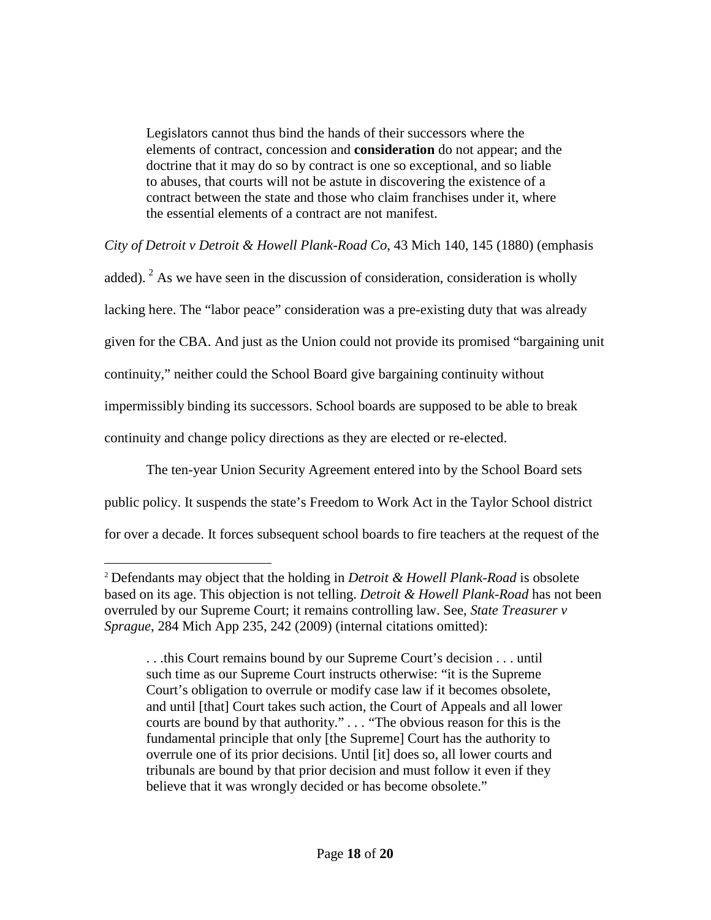Legislators cannot thus bind the hands of their successors where the elements of contract, concession and **consideration** do not appear; and the doctrine that it may do so by contract is one so exceptional, and so liable to abuses, that courts will not be astute in discovering the existence of a contract between the state and those who claim franchises under it, where the essential elements of a contract are not manifest.

*City of Detroit v Detroit & Howell Plank-Road Co*, 43 Mich 140, 145 (1880) (emphasis

added).  $2$  As we have seen in the discussion of consideration, consideration is wholly lacking here. The "labor peace" consideration was a pre-existing duty that was already given for the CBA. And just as the Union could not provide its promised "bargaining unit continuity," neither could the School Board give bargaining continuity without impermissibly binding its successors. School boards are supposed to be able to break continuity and change policy directions as they are elected or re-elected.

The ten-year Union Security Agreement entered into by the School Board sets public policy. It suspends the state's Freedom to Work Act in the Taylor School district for over a decade. It forces subsequent school boards to fire teachers at the request of the

 $\overline{a}$ 

<span id="page-17-0"></span><sup>2</sup> Defendants may object that the holding in *Detroit & Howell Plank-Road* is obsolete based on its age. This objection is not telling. *Detroit & Howell Plank-Road* has not been overruled by our Supreme Court; it remains controlling law. See, *State Treasurer v Sprague*, 284 Mich App 235, 242 (2009) (internal citations omitted):

<sup>.</sup> . .this Court remains bound by our Supreme Court's decision . . . until such time as our Supreme Court instructs otherwise: "it is the Supreme Court's obligation to overrule or modify case law if it becomes obsolete, and until [that] Court takes such action, the Court of Appeals and all lower courts are bound by that authority." *. . .* "The obvious reason for this is the fundamental principle that only [the Supreme] Court has the authority to overrule one of its prior decisions. Until [it] does so, all lower courts and tribunals are bound by that prior decision and must follow it even if they believe that it was wrongly decided or has become obsolete."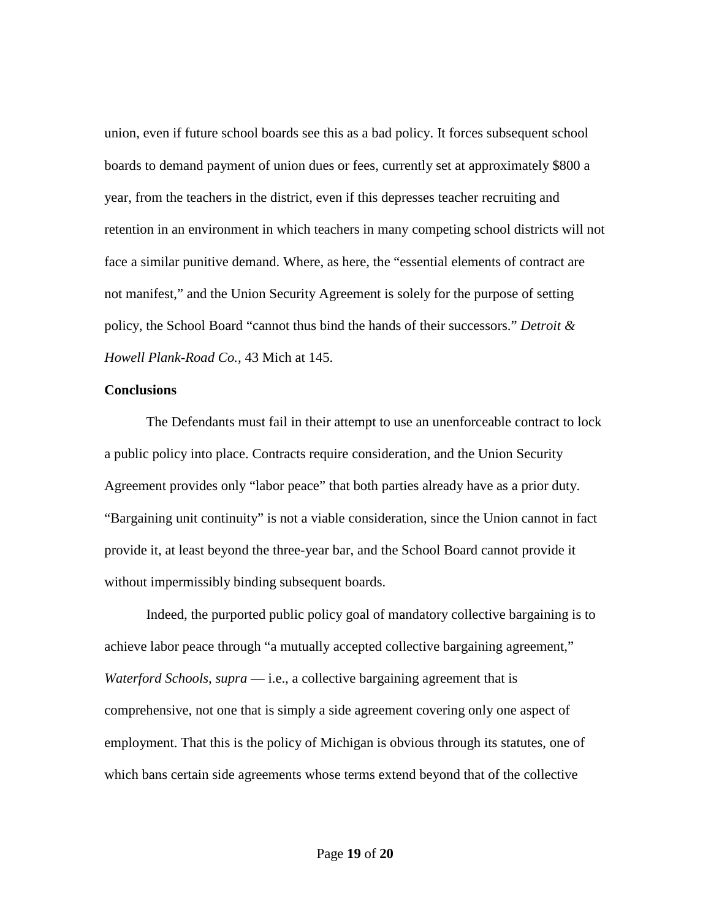union, even if future school boards see this as a bad policy. It forces subsequent school boards to demand payment of union dues or fees, currently set at approximately \$800 a year, from the teachers in the district, even if this depresses teacher recruiting and retention in an environment in which teachers in many competing school districts will not face a similar punitive demand. Where, as here, the "essential elements of contract are not manifest," and the Union Security Agreement is solely for the purpose of setting policy, the School Board "cannot thus bind the hands of their successors." *Detroit & Howell Plank-Road Co.,* 43 Mich at 145.

#### **Conclusions**

The Defendants must fail in their attempt to use an unenforceable contract to lock a public policy into place. Contracts require consideration, and the Union Security Agreement provides only "labor peace" that both parties already have as a prior duty. "Bargaining unit continuity" is not a viable consideration, since the Union cannot in fact provide it, at least beyond the three-year bar, and the School Board cannot provide it without impermissibly binding subsequent boards.

Indeed, the purported public policy goal of mandatory collective bargaining is to achieve labor peace through "a mutually accepted collective bargaining agreement," *Waterford Schools*, *supra* — i.e., a collective bargaining agreement that is comprehensive, not one that is simply a side agreement covering only one aspect of employment. That this is the policy of Michigan is obvious through its statutes, one of which bans certain side agreements whose terms extend beyond that of the collective